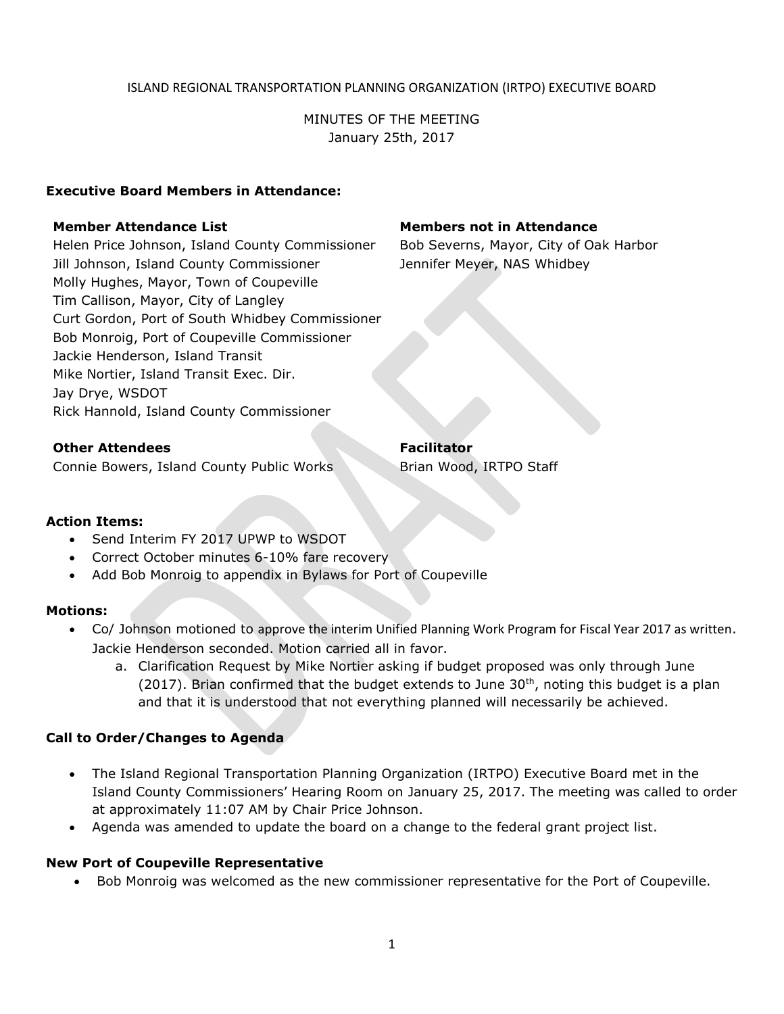### ISLAND REGIONAL TRANSPORTATION PLANNING ORGANIZATION (IRTPO) EXECUTIVE BOARD

MINUTES OF THE MEETING January 25th, 2017

## **Executive Board Members in Attendance:**

Helen Price Johnson, Island County Commissioner Bob Severns, Mayor, City of Oak Harbor Jill Johnson, Island County Commissioner Jennifer Meyer, NAS Whidbey Molly Hughes, Mayor, Town of Coupeville Tim Callison, Mayor, City of Langley Curt Gordon, Port of South Whidbey Commissioner Bob Monroig, Port of Coupeville Commissioner Jackie Henderson, Island Transit Mike Nortier, Island Transit Exec. Dir. Jay Drye, WSDOT Rick Hannold, Island County Commissioner

# **Member Attendance List Members not in Attendance**

**Other Attendees Facilitator** 

Connie Bowers, Island County Public Works Brian Wood, IRTPO Staff

### **Action Items:**

- Send Interim FY 2017 UPWP to WSDOT
- Correct October minutes 6-10% fare recovery
- Add Bob Monroig to appendix in Bylaws for Port of Coupeville

### **Motions:**

- Co/ Johnson motioned to approve the interim Unified Planning Work Program for Fiscal Year 2017 as written. Jackie Henderson seconded. Motion carried all in favor.
	- a. Clarification Request by Mike Nortier asking if budget proposed was only through June (2017). Brian confirmed that the budget extends to June  $30<sup>th</sup>$ , noting this budget is a plan and that it is understood that not everything planned will necessarily be achieved.

# **Call to Order/Changes to Agenda**

- The Island Regional Transportation Planning Organization (IRTPO) Executive Board met in the Island County Commissioners' Hearing Room on January 25, 2017. The meeting was called to order at approximately 11:07 AM by Chair Price Johnson.
- Agenda was amended to update the board on a change to the federal grant project list.

### **New Port of Coupeville Representative**

Bob Monroig was welcomed as the new commissioner representative for the Port of Coupeville.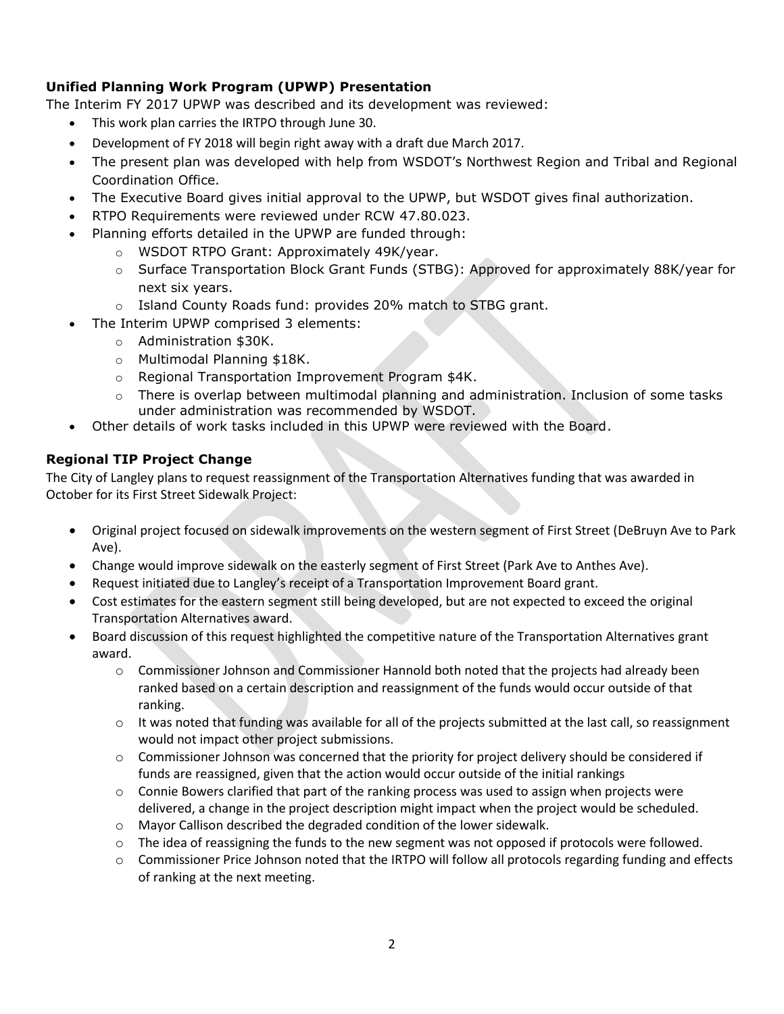# **Unified Planning Work Program (UPWP) Presentation**

The Interim FY 2017 UPWP was described and its development was reviewed:

- This work plan carries the IRTPO through June 30.
- Development of FY 2018 will begin right away with a draft due March 2017.
- The present plan was developed with help from WSDOT's Northwest Region and Tribal and Regional Coordination Office.
- The Executive Board gives initial approval to the UPWP, but WSDOT gives final authorization.
- RTPO Requirements were reviewed under RCW 47.80.023.
- Planning efforts detailed in the UPWP are funded through:
	- o WSDOT RTPO Grant: Approximately 49K/year.
	- o Surface Transportation Block Grant Funds (STBG): Approved for approximately 88K/year for next six years.
	- o Island County Roads fund: provides 20% match to STBG grant.
- The Interim UPWP comprised 3 elements:
	- o Administration \$30K.
	- o Multimodal Planning \$18K.
	- o Regional Transportation Improvement Program \$4K.
	- $\circ$  There is overlap between multimodal planning and administration. Inclusion of some tasks under administration was recommended by WSDOT.
- Other details of work tasks included in this UPWP were reviewed with the Board.

## **Regional TIP Project Change**

The City of Langley plans to request reassignment of the Transportation Alternatives funding that was awarded in October for its First Street Sidewalk Project:

- Original project focused on sidewalk improvements on the western segment of First Street (DeBruyn Ave to Park Ave).
- Change would improve sidewalk on the easterly segment of First Street (Park Ave to Anthes Ave).
- Request initiated due to Langley's receipt of a Transportation Improvement Board grant.
- Cost estimates for the eastern segment still being developed, but are not expected to exceed the original Transportation Alternatives award.
- Board discussion of this request highlighted the competitive nature of the Transportation Alternatives grant award.
	- $\circ$  Commissioner Johnson and Commissioner Hannold both noted that the projects had already been ranked based on a certain description and reassignment of the funds would occur outside of that ranking.
	- $\circ$  It was noted that funding was available for all of the projects submitted at the last call, so reassignment would not impact other project submissions.
	- $\circ$  Commissioner Johnson was concerned that the priority for project delivery should be considered if funds are reassigned, given that the action would occur outside of the initial rankings
	- $\circ$  Connie Bowers clarified that part of the ranking process was used to assign when projects were delivered, a change in the project description might impact when the project would be scheduled.
	- o Mayor Callison described the degraded condition of the lower sidewalk.
	- $\circ$  The idea of reassigning the funds to the new segment was not opposed if protocols were followed.
	- o Commissioner Price Johnson noted that the IRTPO will follow all protocols regarding funding and effects of ranking at the next meeting.